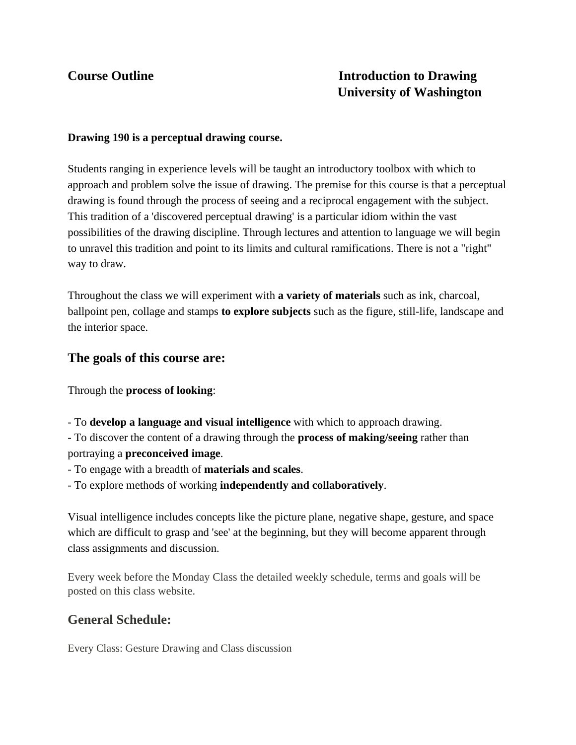# **Course Outline Introduction to Drawing University of Washington**

## **Drawing 190 is a perceptual drawing course.**

Students ranging in experience levels will be taught an introductory toolbox with which to approach and problem solve the issue of drawing. The premise for this course is that a perceptual drawing is found through the process of seeing and a reciprocal engagement with the subject. This tradition of a 'discovered perceptual drawing' is a particular idiom within the vast possibilities of the drawing discipline. Through lectures and attention to language we will begin to unravel this tradition and point to its limits and cultural ramifications. There is not a "right" way to draw.

Throughout the class we will experiment with **a variety of materials** such as ink, charcoal, ballpoint pen, collage and stamps **to explore subjects** such as the figure, still-life, landscape and the interior space.

## **The goals of this course are:**

Through the **process of looking**:

- To **develop a language and visual intelligence** with which to approach drawing.

- To discover the content of a drawing through the **process of making/seeing** rather than portraying a **preconceived image**.

- To engage with a breadth of **materials and scales**.

- To explore methods of working **independently and collaboratively**.

Visual intelligence includes concepts like the picture plane, negative shape, gesture, and space which are difficult to grasp and 'see' at the beginning, but they will become apparent through class assignments and discussion.

Every week before the Monday Class the detailed weekly schedule, terms and goals will be posted on this class website.

## **General Schedule:**

Every Class: Gesture Drawing and Class discussion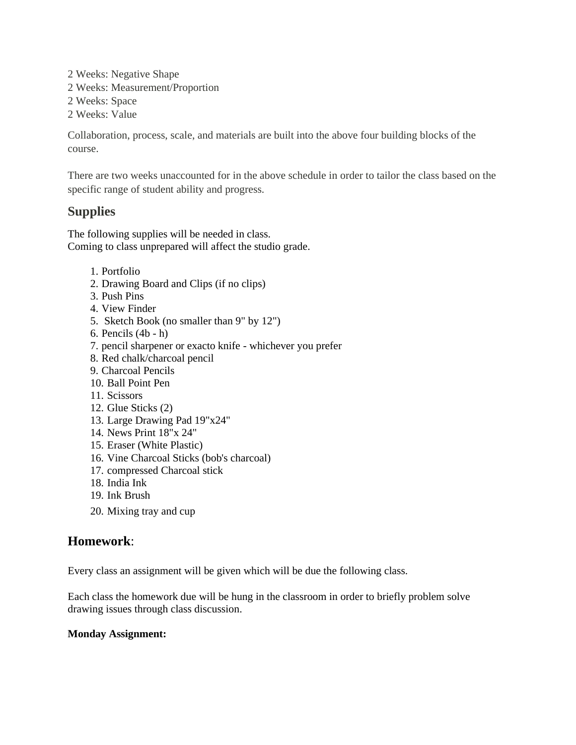2 Weeks: Negative Shape 2 Weeks: Measurement/Proportion 2 Weeks: Space 2 Weeks: Value

Collaboration, process, scale, and materials are built into the above four building blocks of the course.

There are two weeks unaccounted for in the above schedule in order to tailor the class based on the specific range of student ability and progress.

# **Supplies**

The following supplies will be needed in class. Coming to class unprepared will affect the studio grade.

- 1. Portfolio
- 2. Drawing Board and Clips (if no clips)
- 3. Push Pins
- 4. View Finder
- 5. Sketch Book (no smaller than 9" by 12")
- 6. Pencils (4b h)
- 7. pencil sharpener or exacto knife whichever you prefer
- 8. Red chalk/charcoal pencil
- 9. Charcoal Pencils
- 10. Ball Point Pen
- 11. Scissors
- 12. Glue Sticks (2)
- 13. Large Drawing Pad 19"x24"
- 14. News Print 18"x 24"
- 15. Eraser (White Plastic)
- 16. Vine Charcoal Sticks (bob's charcoal)
- 17. compressed Charcoal stick
- 18. India Ink
- 19. Ink Brush
- 20. Mixing tray and cup

# **Homework**:

Every class an assignment will be given which will be due the following class.

Each class the homework due will be hung in the classroom in order to briefly problem solve drawing issues through class discussion.

## **Monday Assignment:**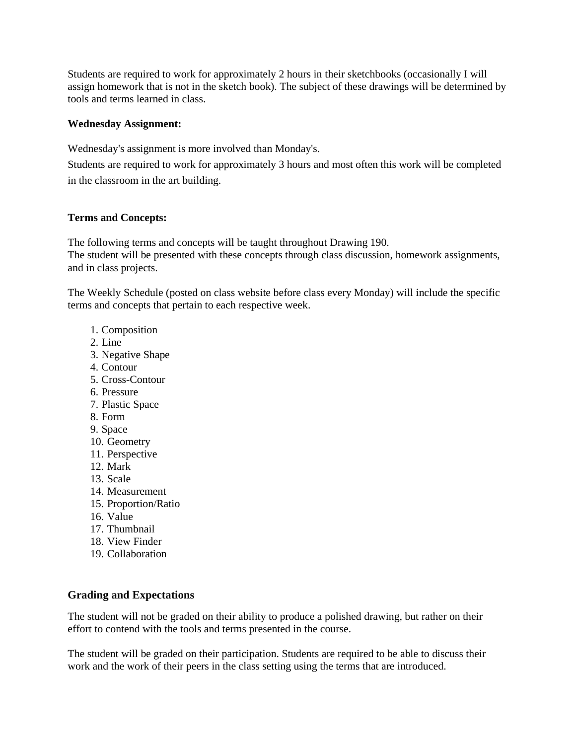Students are required to work for approximately 2 hours in their sketchbooks (occasionally I will assign homework that is not in the sketch book). The subject of these drawings will be determined by tools and terms learned in class.

## **Wednesday Assignment:**

Wednesday's assignment is more involved than Monday's.

Students are required to work for approximately 3 hours and most often this work will be completed in the classroom in the art building.

#### **Terms and Concepts:**

The following terms and concepts will be taught throughout Drawing 190. The student will be presented with these concepts through class discussion, homework assignments, and in class projects.

The Weekly Schedule (posted on class website before class every Monday) will include the specific terms and concepts that pertain to each respective week.

- 1. Composition
- 2. Line
- 3. Negative Shape
- 4. Contour
- 5. Cross-Contour
- 6. Pressure
- 7. Plastic Space
- 8. Form
- 9. Space
- 10. Geometry
- 11. Perspective
- 12. Mark
- 13. Scale
- 14. Measurement
- 15. Proportion/Ratio
- 16. Value
- 17. Thumbnail
- 18. View Finder
- 19. Collaboration

## **Grading and Expectations**

The student will not be graded on their ability to produce a polished drawing, but rather on their effort to contend with the tools and terms presented in the course.

The student will be graded on their participation. Students are required to be able to discuss their work and the work of their peers in the class setting using the terms that are introduced.